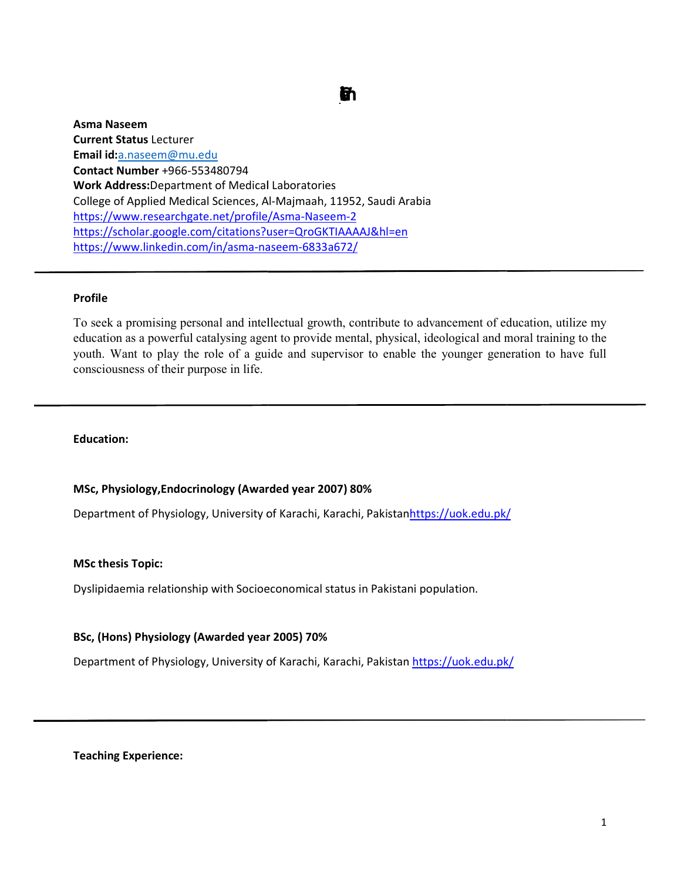# Curiclm Vtae

Asma Naseem Current Status Lecturer Email id:a.naseem@mu.edu Contact Number +966-553480794 Work Address:Department of Medical Laboratories **Contact Number** +966-553480794<br>**Work Address:**Department of Medical Laboratories<br>College of Applied Medical Sciences, Al-Majmaah, 11952, Saudi Arabia https://www.researchgate.net/profile/Asma https://www.researchgate.net/profile/Asma-Naseem-2 https://scholar.google.com/citations?user=QroGKTIAAAAJ&hl=en https://www.linkedin.com/in/asma-naseem-6833a672/

## Profile

To seek a promising personal and intellectual growth, contribute to advancement of education, utilize my education as a powerful catalysing agent to provide mental, physical, ideological and moral training to the To seek a promising personal and intellectual growth, contribute to advancement of education, utilize my<br>education as a powerful catalysing agent to provide mental, physical, ideological and moral training to the<br>youth. Wa consciousness of their purpose in life.

## Education:

## MSc, Physiology,Endocrinology (Awarded year 2007) 80%

Department of Physiology, University of Karachi, Karachi, Pakistan<u>https://uok.edu.pk/</u>

#### MSc thesis Topic:

Dyslipidaemia relationship with Socioeconomical status in Pakistani population.

## BSc, (Hons) Physiology (Awarded year 2005) 70%

Department of Physiology, University of Karachi, Karachi, Pakistan <u>https://uok.edu.pk/</u>

Teaching Experience: